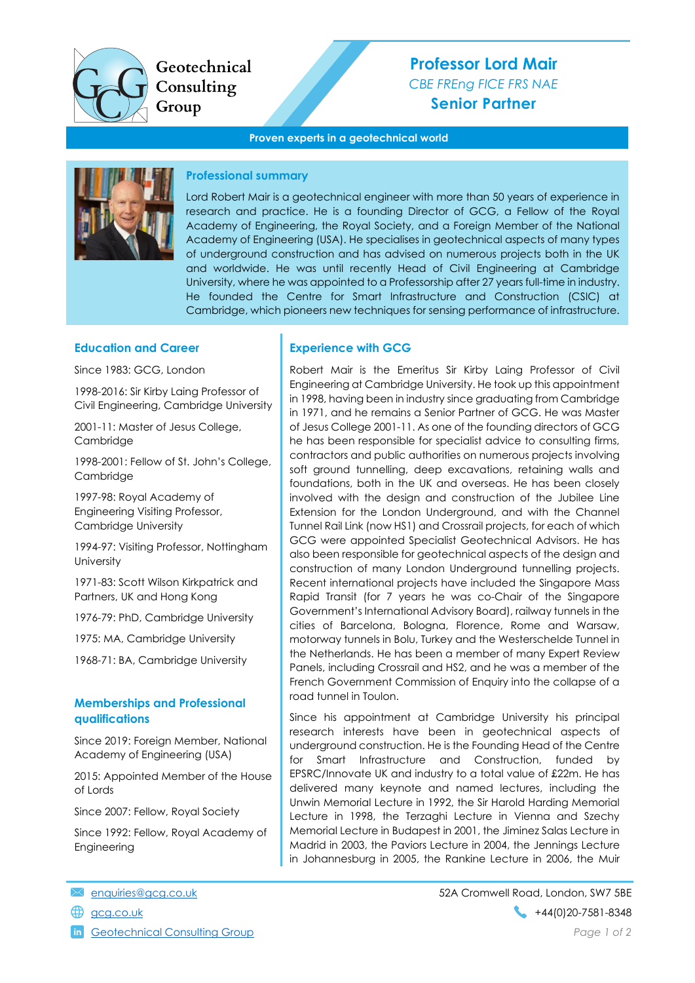

Geotechnical Consulting Group

# **Professor Lord Mair** *CBE FREng FICE FRS NAE* **Senior Partner**

#### **Proven experts in a geotechnical world**



#### **Professional summary**

Lord Robert Mair is a geotechnical engineer with more than 50 years of experience in research and practice. He is a founding Director of GCG, a Fellow of the Royal Academy of Engineering, the Royal Society, and a Foreign Member of the National Academy of Engineering (USA). He specialises in geotechnical aspects of many types of underground construction and has advised on numerous projects both in the UK and worldwide. He was until recently Head of Civil Engineering at Cambridge University, where he was appointed to a Professorship after 27 years full-time in industry. He founded the Centre for Smart Infrastructure and Construction (CSIC) at Cambridge, which pioneers new techniques for sensing performance of infrastructure.

#### **Education and Career**

Since 1983: GCG, London

1998-2016: Sir Kirby Laing Professor of Civil Engineering, Cambridge University

2001-11: Master of Jesus College, **Cambridge** 

1998-2001: Fellow of St. John's College, Cambridge

1997-98: Royal Academy of Engineering Visiting Professor, Cambridge University

1994-97: Visiting Professor, Nottingham **University** 

1971-83: Scott Wilson Kirkpatrick and Partners, UK and Hong Kong

1976-79: PhD, Cambridge University

1975: MA, Cambridge University

1968-71: BA, Cambridge University

#### **Memberships and Professional qualifications**

Since 2019: Foreign Member, National Academy of Engineering (USA)

2015: Appointed Member of the House of Lords

Since 2007: Fellow, Royal Society

Since 1992: Fellow, Royal Academy of Engineering

#### **Experience with GCG**

Robert Mair is the Emeritus Sir Kirby Laing Professor of Civil Engineering at Cambridge University. He took up this appointment in 1998, having been in industry since graduating from Cambridge in 1971, and he remains a Senior Partner of GCG. He was Master of Jesus College 2001-11. As one of the founding directors of GCG he has been responsible for specialist advice to consulting firms, contractors and public authorities on numerous projects involving soft ground tunnelling, deep excavations, retaining walls and foundations, both in the UK and overseas. He has been closely involved with the design and construction of the Jubilee Line Extension for the London Underground, and with the Channel Tunnel Rail Link (now HS1) and Crossrail projects, for each of which GCG were appointed Specialist Geotechnical Advisors. He has also been responsible for geotechnical aspects of the design and construction of many London Underground tunnelling projects. Recent international projects have included the Singapore Mass Rapid Transit (for 7 years he was co-Chair of the Singapore Government's International Advisory Board), railway tunnels in the cities of Barcelona, Bologna, Florence, Rome and Warsaw, motorway tunnels in Bolu, Turkey and the Westerschelde Tunnel in the Netherlands. He has been a member of many Expert Review Panels, including Crossrail and HS2, and he was a member of the French Government Commission of Enquiry into the collapse of a road tunnel in Toulon.

Since his appointment at Cambridge University his principal research interests have been in geotechnical aspects of underground construction. He is the Founding Head of the Centre for Smart Infrastructure and Construction, funded by EPSRC/Innovate UK and industry to a total value of £22m. He has delivered many keynote and named lectures, including the Unwin Memorial Lecture in 1992, the Sir Harold Harding Memorial Lecture in 1998, the Terzaghi Lecture in Vienna and Szechy Memorial Lecture in Budapest in 2001, the Jiminez Salas Lecture in Madrid in 2003, the Paviors Lecture in 2004, the Jennings Lecture in Johannesburg in 2005, the Rankine Lecture in 2006, the Muir

- 
- 

[Geotechnical](https://www.linkedin.com/company/geotechnical-consulting-group/) Consulting Group *Page 1 of 2*

[enquiries@gcg.co.uk](mailto:enquiries@gcg.co.uk) 52A Cromwell Road, London, SW7 5BE [gcg.co.uk](http://www.gcg.co.uk/) +44(0)20-7581-8348